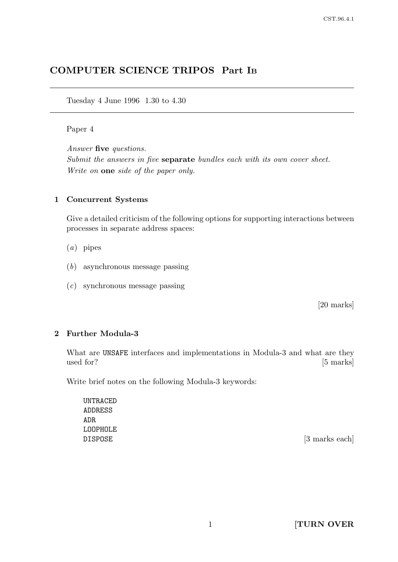# COMPUTER SCIENCE TRIPOS Part I<sup>B</sup>

Tuesday 4 June 1996 1.30 to 4.30

#### Paper 4

Answer five questions. Submit the answers in five **separate** bundles each with its own cover sheet. Write on one side of the paper only.

### 1 Concurrent Systems

Give a detailed criticism of the following options for supporting interactions between processes in separate address spaces:

- (a) pipes
- (b) asynchronous message passing
- (c) synchronous message passing

[20 marks]

## 2 Further Modula-3

What are UNSAFE interfaces and implementations in Modula-3 and what are they used for? [5 marks]

Write brief notes on the following Modula-3 keywords:

UNTRACED ADDRESS ADR LOOPHOLE

DISPOSE [3 marks each]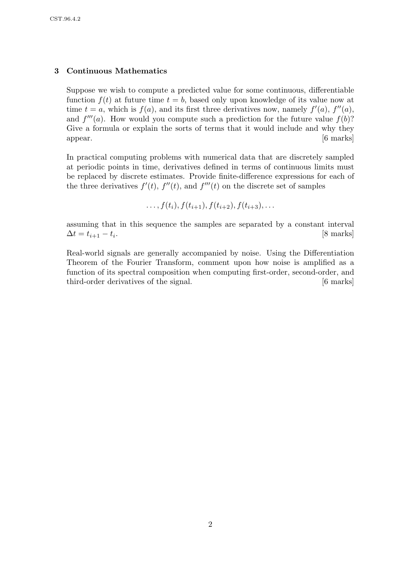#### 3 Continuous Mathematics

Suppose we wish to compute a predicted value for some continuous, differentiable function  $f(t)$  at future time  $t = b$ , based only upon knowledge of its value now at time  $t = a$ , which is  $f(a)$ , and its first three derivatives now, namely  $f'(a)$ ,  $f''(a)$ , and  $f'''(a)$ . How would you compute such a prediction for the future value  $f(b)$ ? Give a formula or explain the sorts of terms that it would include and why they appear. [6 marks]

In practical computing problems with numerical data that are discretely sampled at periodic points in time, derivatives defined in terms of continuous limits must be replaced by discrete estimates. Provide finite-difference expressions for each of the three derivatives  $f'(t)$ ,  $f''(t)$ , and  $f'''(t)$  on the discrete set of samples

$$
\ldots, f(t_i), f(t_{i+1}), f(t_{i+2}), f(t_{i+3}), \ldots
$$

assuming that in this sequence the samples are separated by a constant interval  $\Delta t = t_{i+1} - t_i.$ . [8 marks]

Real-world signals are generally accompanied by noise. Using the Differentiation Theorem of the Fourier Transform, comment upon how noise is amplified as a function of its spectral composition when computing first-order, second-order, and third-order derivatives of the signal. [6 marks]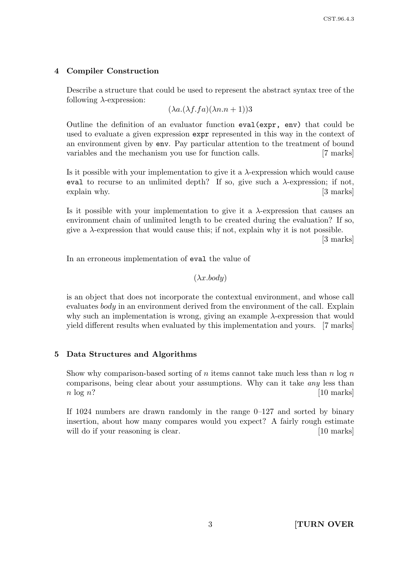## 4 Compiler Construction

Describe a structure that could be used to represent the abstract syntax tree of the following  $\lambda$ -expression:

 $(\lambda a.(\lambda f.fa)(\lambda n.n+1))$ 3

Outline the definition of an evaluator function eval(expr, env) that could be used to evaluate a given expression expr represented in this way in the context of an environment given by env. Pay particular attention to the treatment of bound variables and the mechanism you use for function calls. [7 marks]

Is it possible with your implementation to give it a  $\lambda$ -expression which would cause eval to recurse to an unlimited depth? If so, give such a  $\lambda$ -expression; if not, explain why. [3 marks]

Is it possible with your implementation to give it a  $\lambda$ -expression that causes an environment chain of unlimited length to be created during the evaluation? If so, give a  $\lambda$ -expression that would cause this; if not, explain why it is not possible.

[3 marks]

In an erroneous implementation of eval the value of

## $(\lambda x. \text{body})$

is an object that does not incorporate the contextual environment, and whose call evaluates body in an environment derived from the environment of the call. Explain why such an implementation is wrong, giving an example  $\lambda$ -expression that would yield different results when evaluated by this implementation and yours. [7 marks]

## 5 Data Structures and Algorithms

Show why comparison-based sorting of n items cannot take much less than  $n \log n$ comparisons, being clear about your assumptions. Why can it take any less than  $n \log n$ ? [10 marks]

If 1024 numbers are drawn randomly in the range  $0-127$  and sorted by binary insertion, about how many compares would you expect? A fairly rough estimate will do if your reasoning is clear. [10 marks]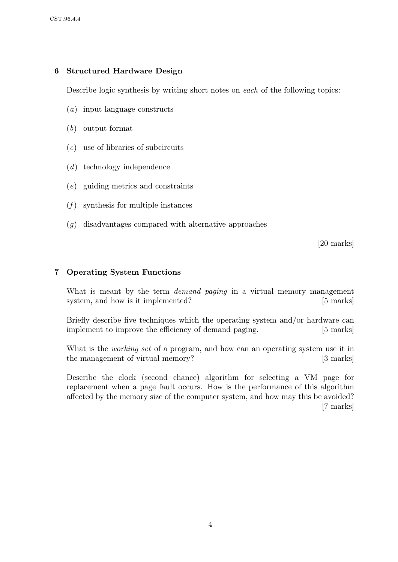## 6 Structured Hardware Design

Describe logic synthesis by writing short notes on each of the following topics:

- (a) input language constructs
- (b) output format
- $(c)$  use of libraries of subcircuits
- (d) technology independence
- (e) guiding metrics and constraints
- $(f)$  synthesis for multiple instances
- (g) disadvantages compared with alternative approaches

[20 marks]

### 7 Operating System Functions

What is meant by the term *demand paging* in a virtual memory management system, and how is it implemented? [5 marks]

Briefly describe five techniques which the operating system and/or hardware can implement to improve the efficiency of demand paging. [5 marks]

What is the *working set* of a program, and how can an operating system use it in the management of virtual memory? [3 marks]

Describe the clock (second chance) algorithm for selecting a VM page for replacement when a page fault occurs. How is the performance of this algorithm affected by the memory size of the computer system, and how may this be avoided? [7 marks]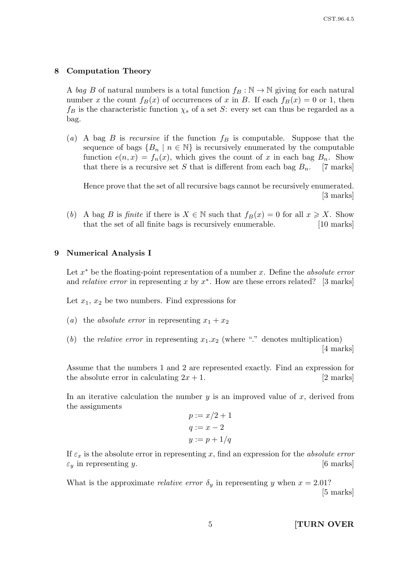#### 8 Computation Theory

A bag B of natural numbers is a total function  $f_B : \mathbb{N} \to \mathbb{N}$  giving for each natural number x the count  $f_B(x)$  of occurrences of x in B. If each  $f_B(x) = 0$  or 1, then  $f_B$  is the characteristic function  $\chi_s$  of a set S: every set can thus be regarded as a bag.

(a) A bag B is recursive if the function  $f_B$  is computable. Suppose that the sequence of bags  ${B_n \mid n \in \mathbb{N}}$  is recursively enumerated by the computable function  $e(n, x) = f_n(x)$ , which gives the count of x in each bag  $B_n$ . Show that there is a recursive set S that is different from each bag  $B_n$ . [7 marks]

Hence prove that the set of all recursive bags cannot be recursively enumerated. [3 marks]

(b) A bag B is finite if there is  $X \in \mathbb{N}$  such that  $f_B(x) = 0$  for all  $x \geq X$ . Show that the set of all finite bags is recursively enumerable. [10 marks]

#### 9 Numerical Analysis I

Let  $x^*$  be the floating-point representation of a number x. Define the *absolute error* and *relative error* in representing x by  $x^*$ . How are these errors related? [3 marks]

Let  $x_1, x_2$  be two numbers. Find expressions for

- (a) the absolute error in representing  $x_1 + x_2$
- (b) the relative error in representing  $x_1.x_2$  (where "." denotes multiplication) [4 marks]

Assume that the numbers 1 and 2 are represented exactly. Find an expression for the absolute error in calculating  $2x + 1$ . [2 marks]

In an iterative calculation the number  $y$  is an improved value of  $x$ , derived from the assignments

$$
p := x/2 + 1
$$

$$
q := x - 2
$$

$$
y := p + 1/q
$$

If  $\varepsilon_x$  is the absolute error in representing x, find an expression for the absolute error  $\varepsilon_y$  in representing y. [6 marks]

What is the approximate *relative error*  $\delta_y$  in representing y when  $x = 2.01$ ? [5 marks]